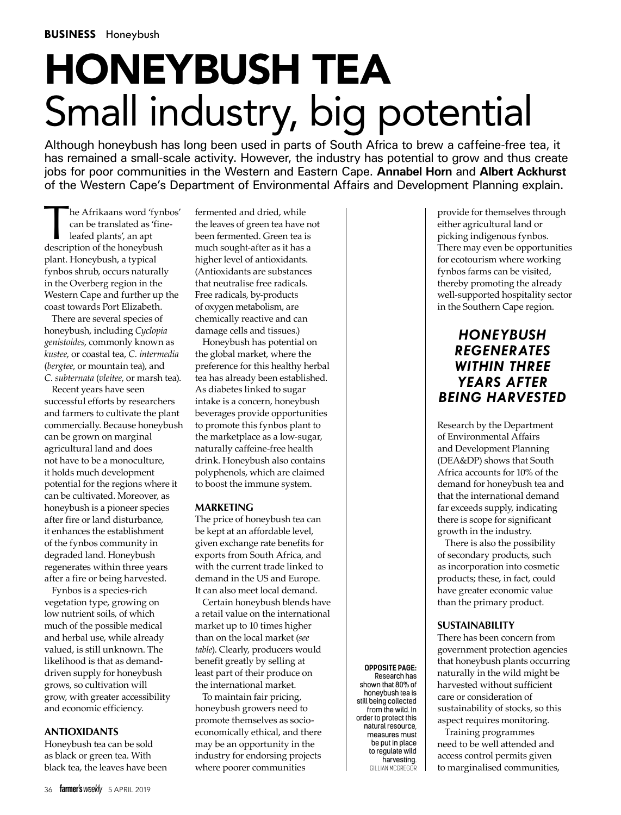# Honeybush tea Small industry, big potential

Although honeybush has long been used in parts of South Africa to brew a caffeine-free tea, it has remained a small-scale activity. However, the industry has potential to grow and thus create jobs for poor communities in the Western and Eastern Cape. **Annabel Horn** and **Albert Ackhurst** of the Western Cape's Department of Environmental Affairs and Development Planning explain.

he Afrikaans word 'fynbos' can be translated as 'fineleafed plants', an apt description of the honeybush plant. Honeybush, a typical fynbos shrub, occurs naturally in the Overberg region in the Western Cape and further up the coast towards Port Elizabeth.

There are several species of honeybush, including *Cyclopia genistoides*, commonly known as *kustee*, or coastal tea, *C. intermedia* (*bergtee*, or mountain tea), and *C. subternata* (*vleitee*, or marsh tea).

Recent years have seen successful efforts by researchers and farmers to cultivate the plant commercially. Because honeybush can be grown on marginal agricultural land and does not have to be a monoculture, it holds much development potential for the regions where it can be cultivated. Moreover, as honeybush is a pioneer species after fire or land disturbance, it enhances the establishment of the fynbos community in degraded land. Honeybush regenerates within three years after a fire or being harvested.

Fynbos is a species-rich vegetation type, growing on low nutrient soils, of which much of the possible medical and herbal use, while already valued, is still unknown. The likelihood is that as demanddriven supply for honeybush grows, so cultivation will grow, with greater accessibility and economic efficiency.

#### **ANTIOXIDANTS**

Honeybush tea can be sold as black or green tea. With black tea, the leaves have been fermented and dried, while the leaves of green tea have not been fermented. Green tea is much sought-after as it has a higher level of antioxidants. (Antioxidants are substances that neutralise free radicals. Free radicals, by-products of oxygen metabolism, are chemically reactive and can damage cells and tissues.)

Honeybush has potential on the global market, where the preference for this healthy herbal tea has already been established. As diabetes linked to sugar intake is a concern, honeybush beverages provide opportunities to promote this fynbos plant to the marketplace as a low-sugar, naturally caffeine-free health drink. Honeybush also contains polyphenols, which are claimed to boost the immune system.

#### **MARKETING**

The price of honeybush tea can be kept at an affordable level, given exchange rate benefits for exports from South Africa, and with the current trade linked to demand in the US and Europe. It can also meet local demand.

Certain honeybush blends have a retail value on the international market up to 10 times higher than on the local market (*see table*). Clearly, producers would benefit greatly by selling at least part of their produce on the international market.

To maintain fair pricing, honeybush growers need to promote themselves as socioeconomically ethical, and there may be an opportunity in the industry for endorsing projects where poorer communities

provide for themselves through either agricultural land or picking indigenous fynbos. There may even be opportunities for ecotourism where working fynbos farms can be visited, thereby promoting the already well-supported hospitality sector in the Southern Cape region.

# *HONEYBUSH REGENERATES WITHIN THREE YEARS AFTER BEING HARVESTED*

Research by the Department of Environmental Affairs and Development Planning (DEA&DP) shows that South Africa accounts for 10% of the demand for honeybush tea and that the international demand far exceeds supply, indicating there is scope for significant growth in the industry.

There is also the possibility of secondary products, such as incorporation into cosmetic products; these, in fact, could have greater economic value than the primary product.

#### **Sustainability**

**OPPOSITE PAGE:** Research has shown that 80% of honeybush tea is still being collected from the wild. In order to protect this natural resource, measures must be put in place to regulate wild harvesting. Gillian McGregor There has been concern from government protection agencies that honeybush plants occurring naturally in the wild might be harvested without sufficient care or consideration of sustainability of stocks, so this aspect requires monitoring.

Training programmes need to be well attended and access control permits given to marginalised communities,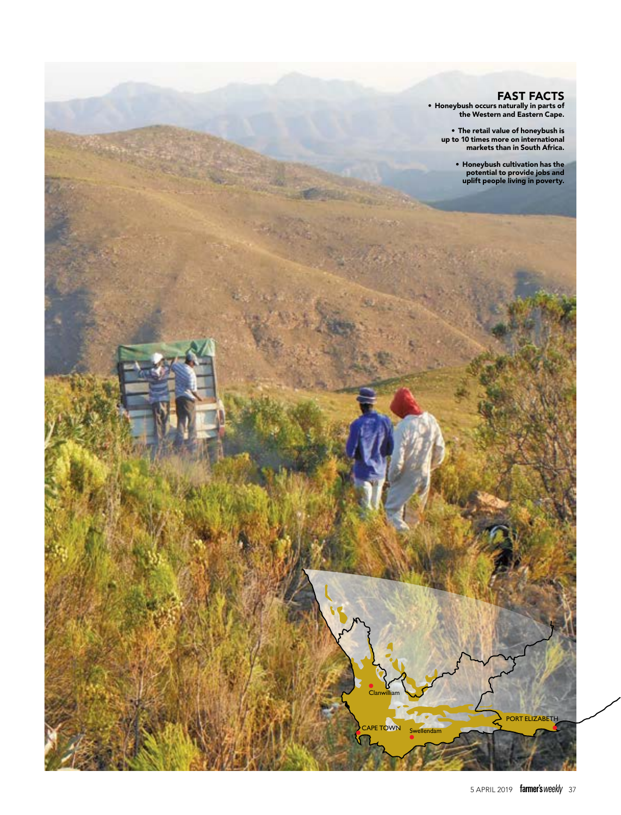### Fast Facts

• Honeybush occurs naturally in parts of the Western and Eastern Cape.

• The retail value of honeybush is up to 10 times more on international markets than in South Africa.

> • Honeybush cultivation has the potential to provide jobs and uplift people living in poverty.

PORT ELIZABETH

CAPE TOWN

**Clanwilliam** 

Swellendam